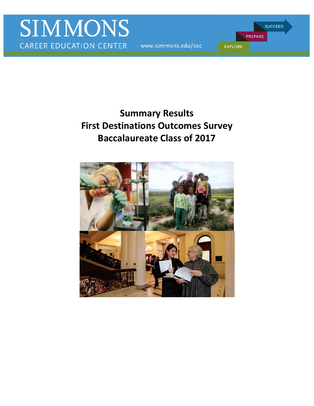www.simmons.edu/cec

PREPARE **EXPLORE** 

**SUCCEED** 

# **Summary Results First Destinations Outcomes Survey Baccalaureate Class of 2017**

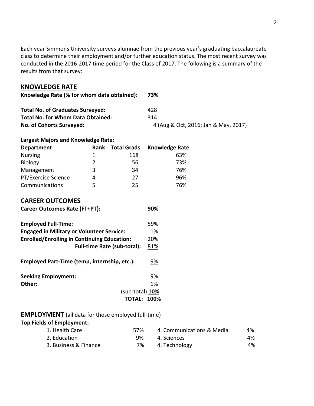Each year Simmons University surveys alumnae from the previous year's graduating baccalaureate class to determine their employment and/or further education status. The most recent survey was conducted in the 2016-2017 time period for the Class of 2017. The following is a summary of the results from that survey:

## **KNOWLEDGE RATE**

| Knowledge Rate (% for whom data obtained): | 73%                                  |
|--------------------------------------------|--------------------------------------|
| <b>Total No. of Graduates Surveyed:</b>    | 428                                  |
| <b>Total No. for Whom Data Obtained:</b>   | 314                                  |
| No. of Cohorts Surveyed:                   | 4 (Aug & Oct, 2016; Jan & May, 2017) |

## **Largest Majors and Knowledge Rate:**

| <b>Department</b>   | Rank          | <b>Total Grads</b> | <b>Knowledge Rate</b> |
|---------------------|---------------|--------------------|-----------------------|
| <b>Nursing</b>      | 1.            | 168                | 63%                   |
| Biology             | $\mathcal{P}$ | 56                 | 73%                   |
| Management          | 3             | 34                 | 76%                   |
| PT/Exercise Science | 4             | 27                 | 96%                   |
| Communications      | 5             | 25                 | 76%                   |

# **CAREER OUTCOMES**

| <b>Career Outcomes Rate (FT+PT):</b>               | 90% |
|----------------------------------------------------|-----|
| <b>Employed Full-Time:</b>                         | 59% |
| <b>Engaged in Military or Volunteer Service:</b>   | 1%  |
| <b>Enrolled/Enrolling in Continuing Education:</b> | 20% |
| <b>Full-time Rate (sub-total):</b>                 | 81% |
| Employed Part-Time (temp, internship, etc.):       | 9%  |
| <b>Seeking Employment:</b>                         | 9%  |
| Other:                                             | 1%  |
| $(sub-total)$ 10%                                  |     |
| <b>TOTAL: 100%</b>                                 |     |

## **EMPLOYMENT** (all data for those employed full-time)

## **Top Fields of Employment:**

| 1. Health Care        | 57% | 4. Communications & Media | 4% |
|-----------------------|-----|---------------------------|----|
| 2. Education          | 9%  | 4. Sciences               | 4% |
| 3. Business & Finance | 7%  | 4. Technology             | 4% |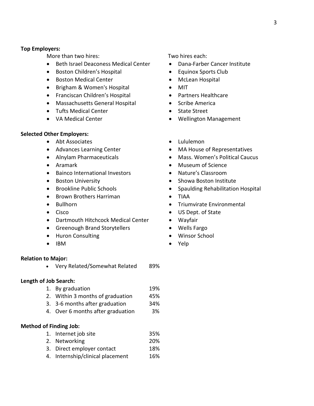#### **Top Employers:**

More than two hires:

- Beth Israel Deaconess Medical Center
- Boston Children's Hospital
- Boston Medical Center
- Brigham & Women's Hospital
- Franciscan Children's Hospital
- Massachusetts General Hospital
- Tufts Medical Center
- VA Medical Center

#### **Selected Other Employers:**

- Abt Associates
- Advances Learning Center
- Alnylam Pharmaceuticals
- Aramark
- Bainco International Investors
- Boston University
- Brookline Public Schools
- Brown Brothers Harriman
- Bullhorn
- Cisco
- Dartmouth Hitchcock Medical Center
- Greenough Brand Storytellers
- Huron Consulting
- IBM

#### **Relation to Major:**

• Very Related/Somewhat Related 89%

#### **Length of Job Search:**

- 1. By graduation 19%
- 2. Within 3 months of graduation 45%
- 3. 3-6 months after graduation 34%
- 4. Over 6 months after graduation 3%

#### **Method of Finding Job:**

- 1. Internet job site 35% 2. Networking 20%
- 3. Direct employer contact 18%
- 4. Internship/clinical placement 16%

Two hires each:

- Dana-Farber Cancer Institute
- Equinox Sports Club
- McLean Hospital
- MIT
- Partners Healthcare
- Scribe America
- State Street
- Wellington Management
- Lululemon
- MA House of Representatives
- Mass. Women's Political Caucus
- Museum of Science
- Nature's Classroom
- Showa Boston Institute
- Spaulding Rehabilitation Hospital
- TIAA
- Triumvirate Environmental
- US Dept. of State
- Wayfair
- Wells Fargo
- Winsor School
- Yelp